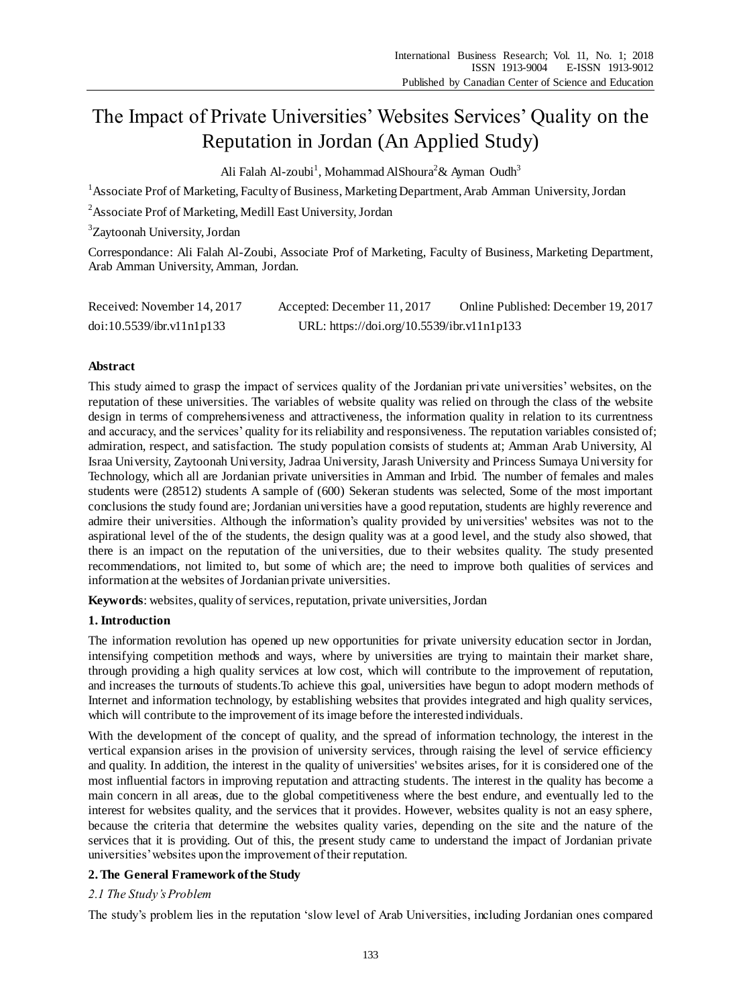# The Impact of Private Universities' Websites Services' Quality on the Reputation in Jordan (An Applied Study)

Ali Falah Al-zoubi<sup>1</sup>, Mohammad AlShoura<sup>2</sup>& Ayman Oudh<sup>3</sup>

<sup>1</sup> Associate Prof of Marketing, Faculty of Business, Marketing Department, Arab Amman University, Jordan

<sup>2</sup> Associate Prof of Marketing, Medill East University, Jordan

3 Zaytoonah University, Jordan

Correspondance: Ali Falah Al-Zoubi, Associate Prof of Marketing, Faculty of Business, Marketing Department, Arab Amman University, Amman, Jordan.

| Received: November 14, 2017 | Accepted: December 11, 2017                | Online Published: December 19, 2017 |
|-----------------------------|--------------------------------------------|-------------------------------------|
| doi:10.5539/ibr.v11nlp133   | URL: https://doi.org/10.5539/ibr.v11n1p133 |                                     |

# **Abstract**

This study aimed to grasp the impact of services quality of the Jordanian private universities' websites, on the reputation of these universities. The variables of website quality was relied on through the class of the website design in terms of comprehensiveness and attractiveness, the information quality in relation to its currentness and accuracy, and the services' quality for its reliability and responsiveness. The reputation variables consisted of; admiration, respect, and satisfaction. The study population consists of students at; Amman Arab University, Al Israa University, Zaytoonah University, Jadraa University, Jarash University and Princess Sumaya University for Technology, which all are Jordanian private universities in Amman and Irbid. The number of females and males students were (28512) students A sample of (600) Sekeran students was selected, Some of the most important conclusions the study found are; Jordanian universities have a good reputation, students are highly reverence and admire their universities. Although the information's quality provided by universities' websites was not to the aspirational level of the of the students, the design quality was at a good level, and the study also showed, that there is an impact on the reputation of the universities, due to their websites quality. The study presented recommendations, not limited to, but some of which are; the need to improve both qualities of services and information at the websites of Jordanian private universities.

**Keywords**: websites, quality of services, reputation, private universities, Jordan

# **1. Introduction**

The information revolution has opened up new opportunities for private university education sector in Jordan, intensifying competition methods and ways, where by universities are trying to maintain their market share, through providing a high quality services at low cost, which will contribute to the improvement of reputation, and increases the turnouts of students.To achieve this goal, universities have begun to adopt modern methods of Internet and information technology, by establishing websites that provides integrated and high quality services, which will contribute to the improvement of its image before the interested individuals.

With the development of the concept of quality, and the spread of information technology, the interest in the vertical expansion arises in the provision of university services, through raising the level of service efficiency and quality. In addition, the interest in the quality of universities' websites arises, for it is considered one of the most influential factors in improving reputation and attracting students. The interest in the quality has become a main concern in all areas, due to the global competitiveness where the best endure, and eventually led to the interest for websites quality, and the services that it provides. However, websites quality is not an easy sphere, because the criteria that determine the websites quality varies, depending on the site and the nature of the services that it is providing. Out of this, the present study came to understand the impact of Jordanian private universities' websites upon the improvement of their reputation.

# **2. The General Framework of the Study**

# *2.1 The Study's Problem*

The study's problem lies in the reputation 'slow level of Arab Universities, including Jordanian ones compared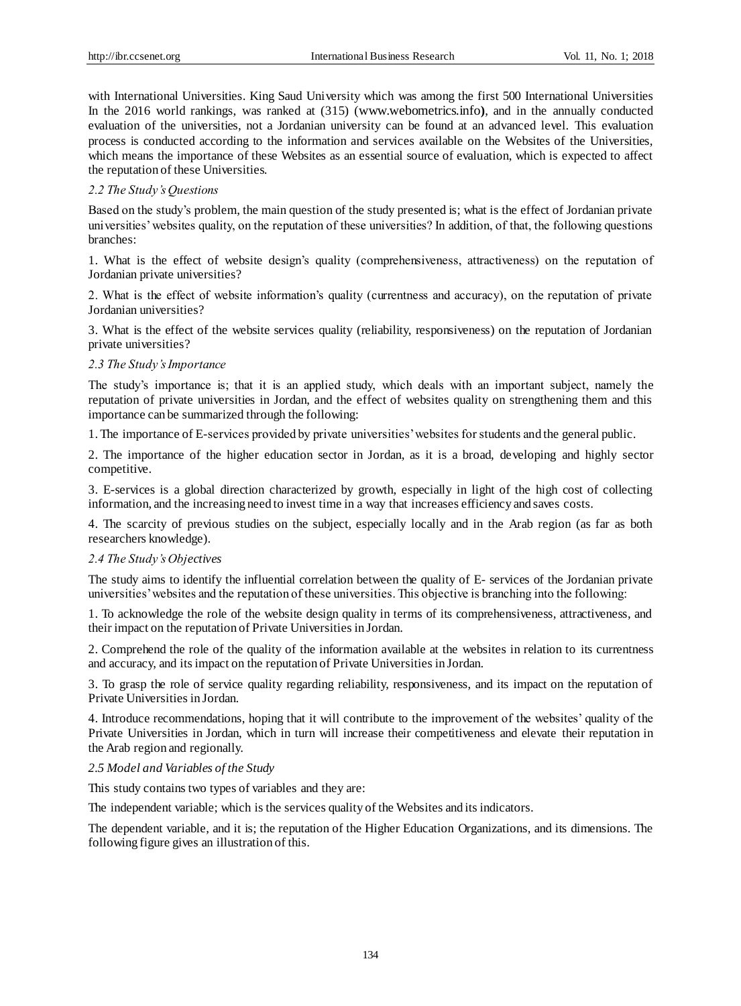with International Universities. King Saud University which was among the first 500 International Universities In the 2016 world rankings, was ranked at (315) ([www.webometrics.info](http://www.webometrics.info/)**)**, and in the annually conducted evaluation of the universities, not a Jordanian university can be found at an advanced level. This evaluation process is conducted according to the information and services available on the Websites of the Universities, which means the importance of these Websites as an essential source of evaluation, which is expected to affect the reputation of these Universities.

# *2.2 The Study's Questions*

Based on the study's problem, the main question of the study presented is; what is the effect of Jordanian private universities' websites quality, on the reputation of these universities? In addition, of that, the following questions branches:

1. What is the effect of website design's quality (comprehensiveness, attractiveness) on the reputation of Jordanian private universities?

2. What is the effect of website information's quality (currentness and accuracy), on the reputation of private Jordanian universities?

3. What is the effect of the website services quality (reliability, responsiveness) on the reputation of Jordanian private universities?

# *2.3 The Study's Importance*

The study's importance is; that it is an applied study, which deals with an important subject, namely the reputation of private universities in Jordan, and the effect of websites quality on strengthening them and this importance can be summarized through the following:

1. The importance of E-services provided by private universities' websites for students and the general public.

2. The importance of the higher education sector in Jordan, as it is a broad, developing and highly sector competitive.

3. E-services is a global direction characterized by growth, especially in light of the high cost of collecting information, and the increasing need to invest time in a way that increases efficiency and saves costs.

4. The scarcity of previous studies on the subject, especially locally and in the Arab region (as far as both researchers knowledge).

# *2.4 The Study's Objectives*

The study aims to identify the influential correlation between the quality of E- services of the Jordanian private universities' websites and the reputation of these universities. This objective is branching into the following:

1. To acknowledge the role of the website design quality in terms of its comprehensiveness, attractiveness, and their impact on the reputation of Private Universities in Jordan.

2. Comprehend the role of the quality of the information available at the websites in relation to its currentness and accuracy, and its impact on the reputation of Private Universities in Jordan.

3. To grasp the role of service quality regarding reliability, responsiveness, and its impact on the reputation of Private Universities in Jordan.

4. Introduce recommendations, hoping that it will contribute to the improvement of the websites' quality of the Private Universities in Jordan, which in turn will increase their competitiveness and elevate their reputation in the Arab region and regionally.

# *2.5 Model and Variables of the Study*

This study contains two types of variables and they are:

The independent variable; which is the services quality of the Websites and its indicators.

The dependent variable, and it is; the reputation of the Higher Education Organizations, and its dimensions. The following figure gives an illustration of this.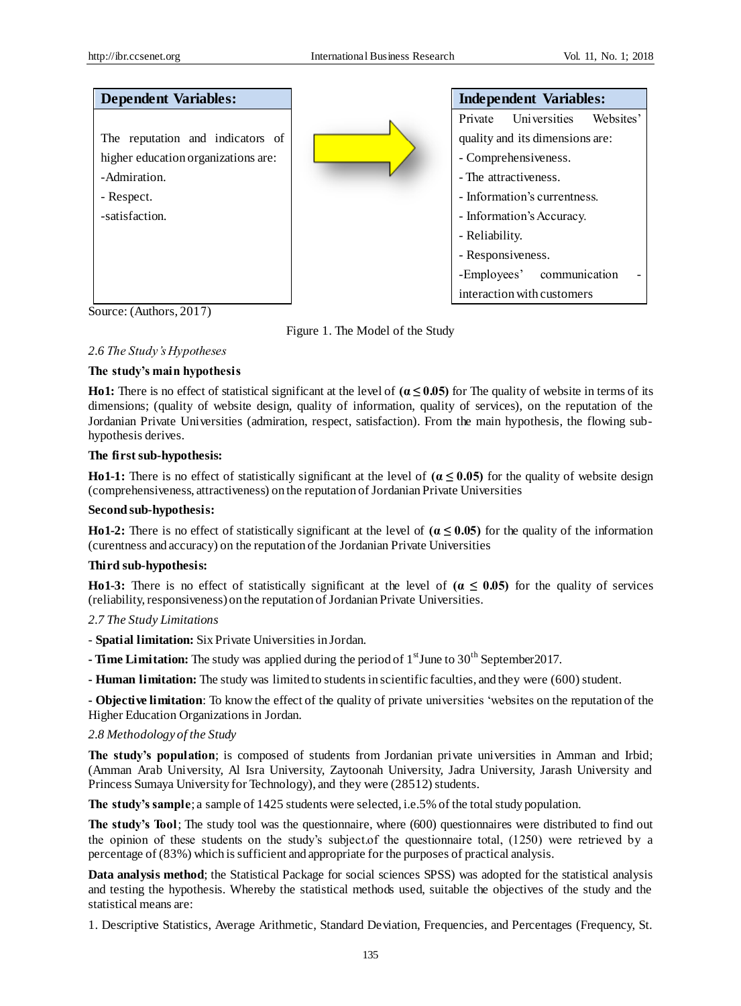| <b>Dependent Variables:</b>         | <b>Independent Variables:</b>               |  |  |  |  |
|-------------------------------------|---------------------------------------------|--|--|--|--|
|                                     | <b>Universities</b><br>Websites'<br>Private |  |  |  |  |
| The reputation and indicators of    | quality and its dimensions are:             |  |  |  |  |
| higher education organizations are: | - Comprehensiveness.                        |  |  |  |  |
| -Admiration.                        | - The attractiveness.                       |  |  |  |  |
| - Respect.                          | - Information's currentness.                |  |  |  |  |
| -satisfaction.                      | - Information's Accuracy.                   |  |  |  |  |
|                                     | - Reliability.                              |  |  |  |  |
|                                     | - Responsiveness.                           |  |  |  |  |
|                                     | -Employees' communication                   |  |  |  |  |
|                                     | interaction with customers                  |  |  |  |  |
| Source: (Authors, 2017)             |                                             |  |  |  |  |

Source: (Authors, 2017)

Figure 1. The Model of the Study

# *2.6 The Study's Hypotheses*

# **The study's main hypothesis**

**Ho1:** There is no effect of statistical significant at the level of  $(a \le 0.05)$  for The quality of website in terms of its dimensions; (quality of website design, quality of information, quality of services), on the reputation of the Jordanian Private Universities (admiration, respect, satisfaction). From the main hypothesis, the flowing subhypothesis derives.

# **The first sub-hypothesis:**

**Ho1-1:** There is no effect of statistically significant at the level of  $(a \le 0.05)$  for the quality of website design (comprehensiveness, attractiveness) on the reputation of Jordanian Private Universities

# **Second sub-hypothesis:**

**Ho1-2:** There is no effect of statistically significant at the level of  $(a \le 0.05)$  for the quality of the information (curentness and accuracy) on the reputation of the Jordanian Private Universities

# **Third sub-hypothesis:**

**Ho1-3:** There is no effect of statistically significant at the level of  $(a \le 0.05)$  for the quality of services (reliability, responsiveness) on the reputation of Jordanian Private Universities.

# *2.7 The Study Limitations*

- **Spatial limitation:** Six Private Universities in Jordan.

**- Time Limitation:** The study was applied during the period of 1<sup>st</sup> June to 30<sup>th</sup> September 2017.

**- Human limitation:** The study was limited to students in scientific faculties, and they were (600) student.

**- Objective limitation**: To know the effect of the quality of private universities 'websites on the reputation of the Higher Education Organizations in Jordan.

# *2.8 Methodology of the Study*

**The study's population**; is composed of students from Jordanian private universities in Amman and Irbid; (Amman Arab University, Al Isra University, Zaytoonah University, Jadra University, Jarash University and Princess Sumaya University for Technology), and they were (28512) students.

**The study's sample**; a sample of 1425 students were selected, i.e.5% of the total study population.

**The study's Tool**; The study tool was the questionnaire, where (600) questionnaires were distributed to find out the opinion of these students on the study's subject.of the questionnaire total, (1250) were retrieved by a percentage of (83%) which is sufficient and appropriate for the purposes of practical analysis.

**Data analysis method**; the Statistical Package for social sciences SPSS) was adopted for the statistical analysis and testing the hypothesis. Whereby the statistical methods used, suitable the objectives of the study and the statistical means are:

1. Descriptive Statistics, Average Arithmetic, Standard Deviation, Frequencies, and Percentages (Frequency, St.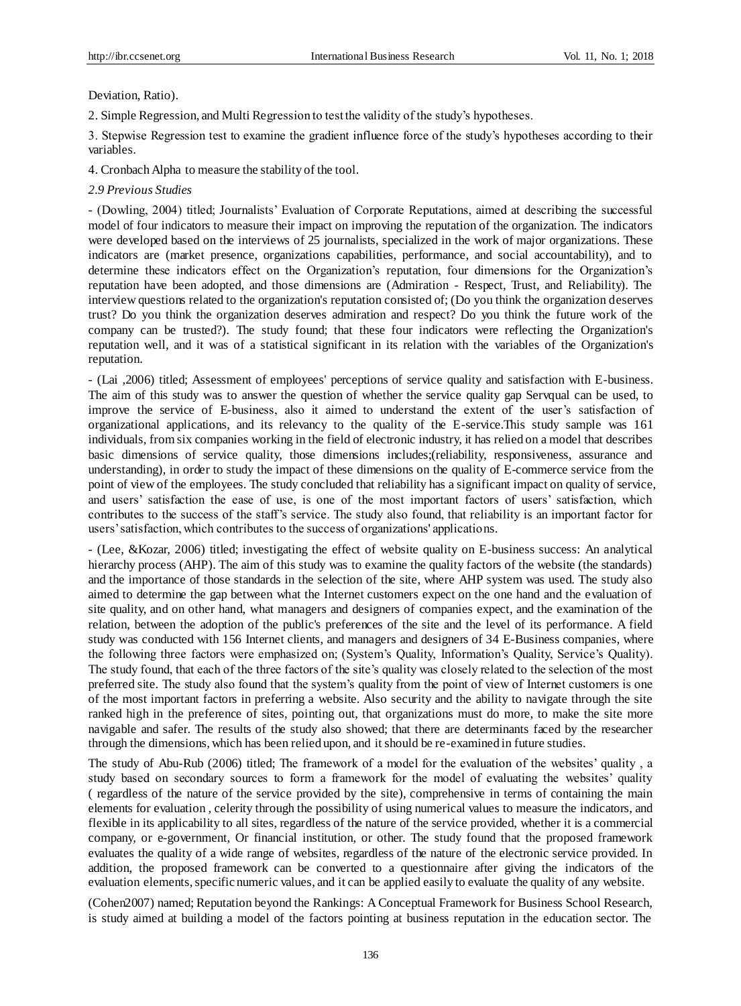## Deviation, Ratio).

2. Simple Regression, and Multi Regression to test the validity of the study's hypotheses.

3. Stepwise Regression test to examine the gradient influence force of the study's hypotheses according to their variables.

4. Cronbach Alpha to measure the stability of the tool.

## *2.9 Previous Studies*

- (Dowling, 2004) titled; Journalists' Evaluation of Corporate Reputations, aimed at describing the successful model of four indicators to measure their impact on improving the reputation of the organization. The indicators were developed based on the interviews of 25 journalists, specialized in the work of major organizations. These indicators are (market presence, organizations capabilities, performance, and social accountability), and to determine these indicators effect on the Organization's reputation, four dimensions for the Organization's reputation have been adopted, and those dimensions are (Admiration - Respect, Trust, and Reliability). The interview questions related to the organization's reputation consisted of; (Do you think the organization deserves trust? Do you think the organization deserves admiration and respect? Do you think the future work of the company can be trusted?). The study found; that these four indicators were reflecting the Organization's reputation well, and it was of a statistical significant in its relation with the variables of the Organization's reputation.

- (Lai ,2006) titled; Assessment of employees' perceptions of service quality and satisfaction with E-business. The aim of this study was to answer the question of whether the service quality gap Servqual can be used, to improve the service of E-business, also it aimed to understand the extent of the user's satisfaction of organizational applications, and its relevancy to the quality of the E-service.This study sample was 161 individuals, from six companies working in the field of electronic industry, it has relied on a model that describes basic dimensions of service quality, those dimensions includes;(reliability, responsiveness, assurance and understanding), in order to study the impact of these dimensions on the quality of E-commerce service from the point of view of the employees. The study concluded that reliability has a significant impact on quality of service, and users' satisfaction the ease of use, is one of the most important factors of users' satisfaction, which contributes to the success of the staff's service. The study also found, that reliability is an important factor for users' satisfaction, which contributes to the success of organizations' applications.

- (Lee, &Kozar, 2006) titled; investigating the effect of website quality on E-business success: An analytical hierarchy process (AHP). The aim of this study was to examine the quality factors of the website (the standards) and the importance of those standards in the selection of the site, where AHP system was used. The study also aimed to determine the gap between what the Internet customers expect on the one hand and the evaluation of site quality, and on other hand, what managers and designers of companies expect, and the examination of the relation, between the adoption of the public's preferences of the site and the level of its performance. A field study was conducted with 156 Internet clients, and managers and designers of 34 E-Business companies, where the following three factors were emphasized on; (System's Quality, Information's Quality, Service's Quality). The study found, that each of the three factors of the site's quality was closely related to the selection of the most preferred site. The study also found that the system's quality from the point of view of Internet customers is one of the most important factors in preferring a website. Also security and the ability to navigate through the site ranked high in the preference of sites, pointing out, that organizations must do more, to make the site more navigable and safer. The results of the study also showed; that there are determinants faced by the researcher through the dimensions, which has been relied upon, and it should be re-examined in future studies.

The study of Abu-Rub (2006) titled; The framework of a model for the evaluation of the websites' quality , a study based on secondary sources to form a framework for the model of evaluating the websites' quality ( regardless of the nature of the service provided by the site), comprehensive in terms of containing the main elements for evaluation , celerity through the possibility of using numerical values to measure the indicators, and flexible in its applicability to all sites, regardless of the nature of the service provided, whether it is a commercial company, or e-government, Or financial institution, or other. The study found that the proposed framework evaluates the quality of a wide range of websites, regardless of the nature of the electronic service provided. In addition, the proposed framework can be converted to a questionnaire after giving the indicators of the evaluation elements, specific numeric values, and it can be applied easily to evaluate the quality of any website.

(Cohen2007) named; Reputation beyond the Rankings: A Conceptual Framework for Business School Research, is study aimed at building a model of the factors pointing at business reputation in the education sector. The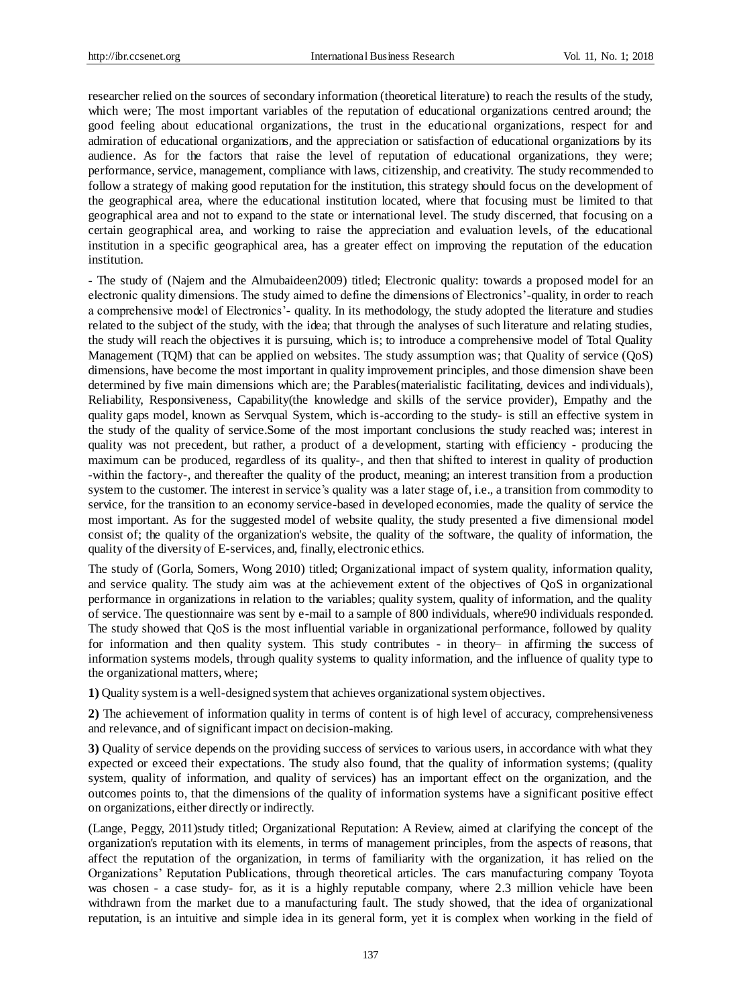researcher relied on the sources of secondary information (theoretical literature) to reach the results of the study, which were; The most important variables of the reputation of educational organizations centred around; the good feeling about educational organizations, the trust in the educational organizations, respect for and admiration of educational organizations, and the appreciation or satisfaction of educational organizations by its audience. As for the factors that raise the level of reputation of educational organizations, they were; performance, service, management, compliance with laws, citizenship, and creativity. The study recommended to follow a strategy of making good reputation for the institution, this strategy should focus on the development of the geographical area, where the educational institution located, where that focusing must be limited to that geographical area and not to expand to the state or international level. The study discerned, that focusing on a certain geographical area, and working to raise the appreciation and evaluation levels, of the educational institution in a specific geographical area, has a greater effect on improving the reputation of the education institution.

- The study of (Najem and the Almubaideen2009) titled; Electronic quality: towards a proposed model for an electronic quality dimensions. The study aimed to define the dimensions of Electronics'-quality, in order to reach a comprehensive model of Electronics'- quality. In its methodology, the study adopted the literature and studies related to the subject of the study, with the idea; that through the analyses of such literature and relating studies, the study will reach the objectives it is pursuing, which is; to introduce a comprehensive model of Total Quality Management (TQM) that can be applied on websites. The study assumption was; that Quality of service (QoS) dimensions, have become the most important in quality improvement principles, and those dimension shave been determined by five main dimensions which are; the Parables(materialistic facilitating, devices and individuals), Reliability, Responsiveness, Capability(the knowledge and skills of the service provider), Empathy and the quality gaps model, known as Servqual System, which is-according to the study- is still an effective system in the study of the quality of service.Some of the most important conclusions the study reached was; interest in quality was not precedent, but rather, a product of a development, starting with efficiency - producing the maximum can be produced, regardless of its quality-, and then that shifted to interest in quality of production -within the factory-, and thereafter the quality of the product, meaning; an interest transition from a production system to the customer. The interest in service's quality was a later stage of, i.e., a transition from commodity to service, for the transition to an economy service-based in developed economies, made the quality of service the most important. As for the suggested model of website quality, the study presented a five dimensional model consist of; the quality of the organization's website, the quality of the software, the quality of information, the quality of the diversity of E-services, and, finally, electronic ethics.

The study of (Gorla, Somers, Wong 2010) titled; Organizational impact of system quality, information quality, and service quality. The study aim was at the achievement extent of the objectives of QoS in organizational performance in organizations in relation to the variables; quality system, quality of information, and the quality of service. The questionnaire was sent by e-mail to a sample of 800 individuals, where90 individuals responded. The study showed that QoS is the most influential variable in organizational performance, followed by quality for information and then quality system. This study contributes - in theory– in affirming the success of information systems models, through quality systems to quality information, and the influence of quality type to the organizational matters, where;

**1)** Quality system is a well-designed system that achieves organizational system objectives.

**2)** The achievement of information quality in terms of content is of high level of accuracy, comprehensiveness and relevance, and of significant impact on decision-making.

**3)** Quality of service depends on the providing success of services to various users, in accordance with what they expected or exceed their expectations. The study also found, that the quality of information systems; (quality system, quality of information, and quality of services) has an important effect on the organization, and the outcomes points to, that the dimensions of the quality of information systems have a significant positive effect on organizations, either directly or indirectly.

(Lange, Peggy, 2011)study titled; Organizational Reputation: A Review, aimed at clarifying the concept of the organization's reputation with its elements, in terms of management principles, from the aspects of reasons, that affect the reputation of the organization, in terms of familiarity with the organization, it has relied on the Organizations' Reputation Publications, through theoretical articles. The cars manufacturing company Toyota was chosen - a case study- for, as it is a highly reputable company, where 2.3 million vehicle have been withdrawn from the market due to a manufacturing fault. The study showed, that the idea of organizational reputation, is an intuitive and simple idea in its general form, yet it is complex when working in the field of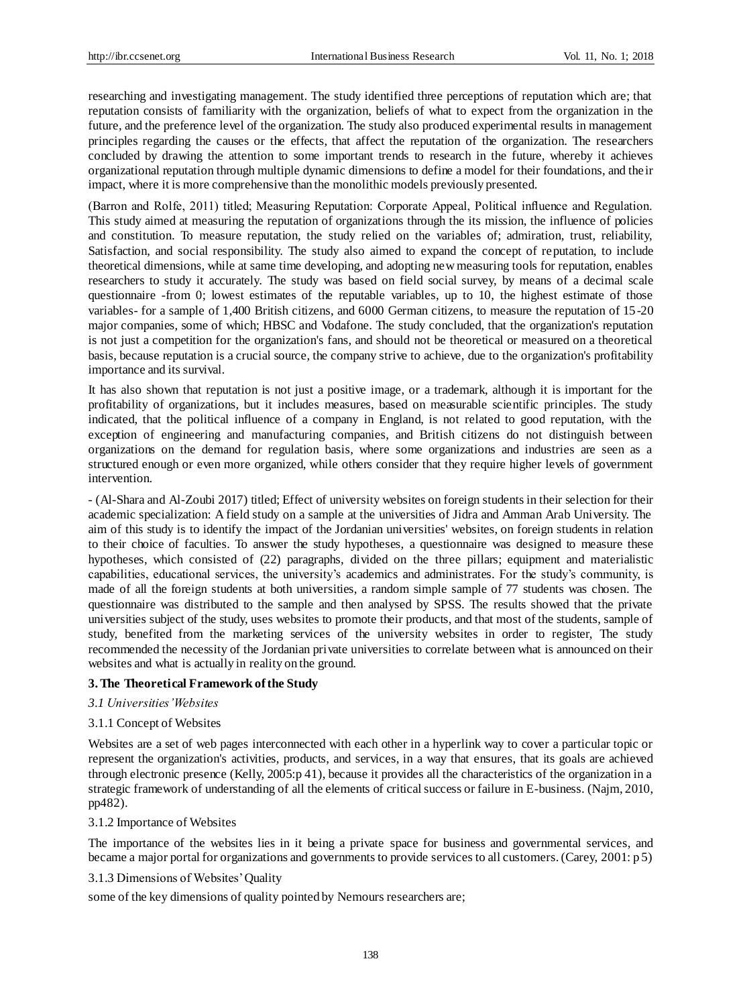researching and investigating management. The study identified three perceptions of reputation which are; that reputation consists of familiarity with the organization, beliefs of what to expect from the organization in the future, and the preference level of the organization. The study also produced experimental results in management principles regarding the causes or the effects, that affect the reputation of the organization. The researchers concluded by drawing the attention to some important trends to research in the future, whereby it achieves organizational reputation through multiple dynamic dimensions to define a model for their foundations, and their impact, where it is more comprehensive than the monolithic models previously presented.

(Barron and Rolfe, 2011) titled; Measuring Reputation: Corporate Appeal, Political influence and Regulation. This study aimed at measuring the reputation of organizations through the its mission, the influence of policies and constitution. To measure reputation, the study relied on the variables of; admiration, trust, reliability, Satisfaction, and social responsibility. The study also aimed to expand the concept of reputation, to include theoretical dimensions, while at same time developing, and adopting new measuring tools for reputation, enables researchers to study it accurately. The study was based on field social survey, by means of a decimal scale questionnaire -from 0; lowest estimates of the reputable variables, up to 10, the highest estimate of those variables- for a sample of 1,400 British citizens, and 6000 German citizens, to measure the reputation of 15-20 major companies, some of which; HBSC and Vodafone. The study concluded, that the organization's reputation is not just a competition for the organization's fans, and should not be theoretical or measured on a theoretical basis, because reputation is a crucial source, the company strive to achieve, due to the organization's profitability importance and its survival.

It has also shown that reputation is not just a positive image, or a trademark, although it is important for the profitability of organizations, but it includes measures, based on measurable scientific principles. The study indicated, that the political influence of a company in England, is not related to good reputation, with the exception of engineering and manufacturing companies, and British citizens do not distinguish between organizations on the demand for regulation basis, where some organizations and industries are seen as a structured enough or even more organized, while others consider that they require higher levels of government intervention.

- (Al-Shara and Al-Zoubi 2017) titled; Effect of university websites on foreign students in their selection for their academic specialization: A field study on a sample at the universities of Jidra and Amman Arab University. The aim of this study is to identify the impact of the Jordanian universities' websites, on foreign students in relation to their choice of faculties. To answer the study hypotheses, a questionnaire was designed to measure these hypotheses, which consisted of (22) paragraphs, divided on the three pillars; equipment and materialistic capabilities, educational services, the university's academics and administrates. For the study's community, is made of all the foreign students at both universities, a random simple sample of 77 students was chosen. The questionnaire was distributed to the sample and then analysed by SPSS. The results showed that the private universities subject of the study, uses websites to promote their products, and that most of the students, sample of study, benefited from the marketing services of the university websites in order to register, The study recommended the necessity of the Jordanian private universities to correlate between what is announced on their websites and what is actually in reality on the ground.

## **3. The Theoretical Framework of the Study**

## *3.1 Universities' Websites*

## 3.1.1 Concept of Websites

Websites are a set of web pages interconnected with each other in a hyperlink way to cover a particular topic or represent the organization's activities, products, and services, in a way that ensures, that its goals are achieved through electronic presence (Kelly, 2005:p 41), because it provides all the characteristics of the organization in a strategic framework of understanding of all the elements of critical success or failure in E-business. (Najm, 2010, pp482).

## 3.1.2 Importance of Websites

The importance of the websites lies in it being a private space for business and governmental services, and became a major portal for organizations and governments to provide services to all customers. (Carey, 2001: p 5)

## 3.1.3 Dimensions of Websites'Quality

some of the key dimensions of quality pointed by Nemours researchers are;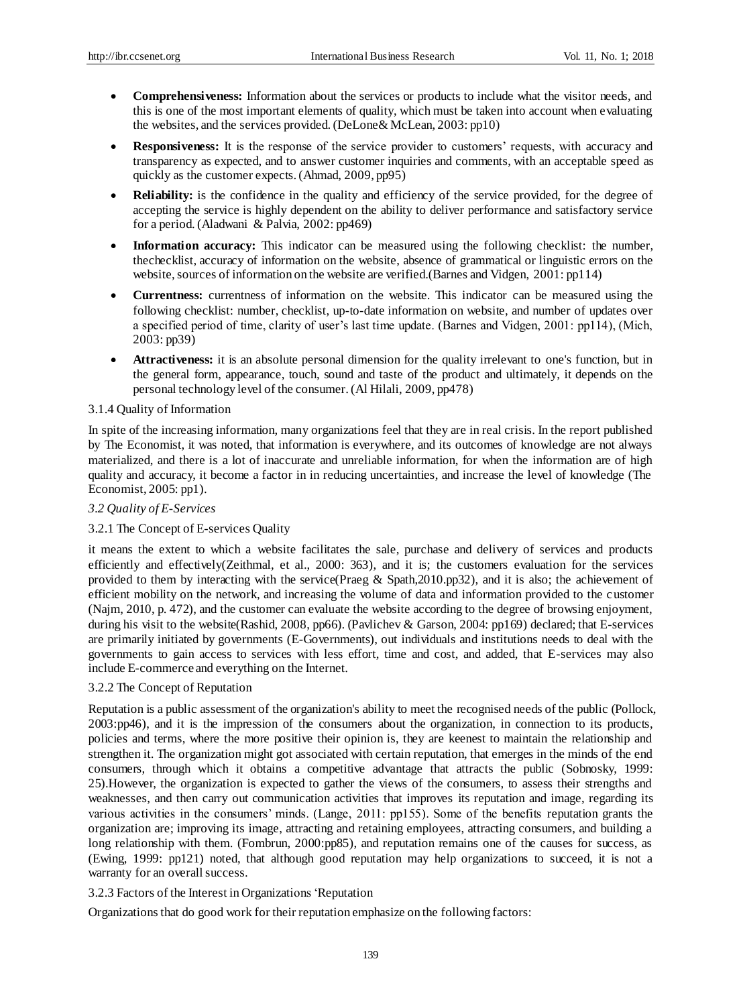- **Comprehensiveness:** Information about the services or products to include what the visitor needs, and this is one of the most important elements of quality, which must be taken into account when evaluating the websites, and the services provided. (DeLone& McLean, 2003: pp10)
- **Responsiveness:** It is the response of the service provider to customers' requests, with accuracy and transparency as expected, and to answer customer inquiries and comments, with an acceptable speed as quickly as the customer expects. (Ahmad, 2009, pp95)
- **Reliability:** is the confidence in the quality and efficiency of the service provided, for the degree of accepting the service is highly dependent on the ability to deliver performance and satisfactory service for a period. (Aladwani & Palvia, 2002: pp469)
- **Information accuracy:** This indicator can be measured using the following checklist: the number, thechecklist, accuracy of information on the website, absence of grammatical or linguistic errors on the website, sources of information on the website are verified.(Barnes and Vidgen, 2001: pp114)
- **Currentness:** currentness of information on the website. This indicator can be measured using the following checklist: number, checklist, up-to-date information on website, and number of updates over a specified period of time, clarity of user's last time update. (Barnes and Vidgen, 2001: pp114), (Mich, 2003: pp39)
- **Attractiveness:** it is an absolute personal dimension for the quality irrelevant to one's function, but in the general form, appearance, touch, sound and taste of the product and ultimately, it depends on the personal technology level of the consumer. (Al Hilali, 2009, pp478)

# 3.1.4 Quality of Information

In spite of the increasing information, many organizations feel that they are in real crisis. In the report published by The Economist, it was noted, that information is everywhere, and its outcomes of knowledge are not always materialized, and there is a lot of inaccurate and unreliable information, for when the information are of high quality and accuracy, it become a factor in in reducing uncertainties, and increase the level of knowledge (The Economist, 2005: pp1).

# *3.2 Quality of E-Services*

# 3.2.1 The Concept of E-services Quality

it means the extent to which a website facilitates the sale, purchase and delivery of services and products efficiently and effectively(Zeithmal, et al., 2000: 363), and it is; the customers evaluation for the services provided to them by interacting with the service(Praeg & Spath,2010.pp32), and it is also; the achievement of efficient mobility on the network, and increasing the volume of data and information provided to the customer (Najm, 2010, p. 472), and the customer can evaluate the website according to the degree of browsing enjoyment, during his visit to the website(Rashid, 2008, pp66). (Pavlichev & Garson, 2004: pp169) declared; that E-services are primarily initiated by governments (E-Governments), out individuals and institutions needs to deal with the governments to gain access to services with less effort, time and cost, and added, that E-services may also include E-commerce and everything on the Internet.

# 3.2.2 The Concept of Reputation

Reputation is a public assessment of the organization's ability to meet the recognised needs of the public (Pollock, 2003:pp46), and it is the impression of the consumers about the organization, in connection to its products, policies and terms, where the more positive their opinion is, they are keenest to maintain the relationship and strengthen it. The organization might got associated with certain reputation, that emerges in the minds of the end consumers, through which it obtains a competitive advantage that attracts the public (Sobnosky, 1999: 25).However, the organization is expected to gather the views of the consumers, to assess their strengths and weaknesses, and then carry out communication activities that improves its reputation and image, regarding its various activities in the consumers' minds. (Lange, 2011: pp155). Some of the benefits reputation grants the organization are; improving its image, attracting and retaining employees, attracting consumers, and building a long relationship with them. (Fombrun, 2000:pp85), and reputation remains one of the causes for success, as (Ewing, 1999: pp121) noted, that although good reputation may help organizations to succeed, it is not a warranty for an overall success.

# 3.2.3 Factors of the Interest in Organizations 'Reputation

Organizations that do good work for their reputation emphasize on the following factors: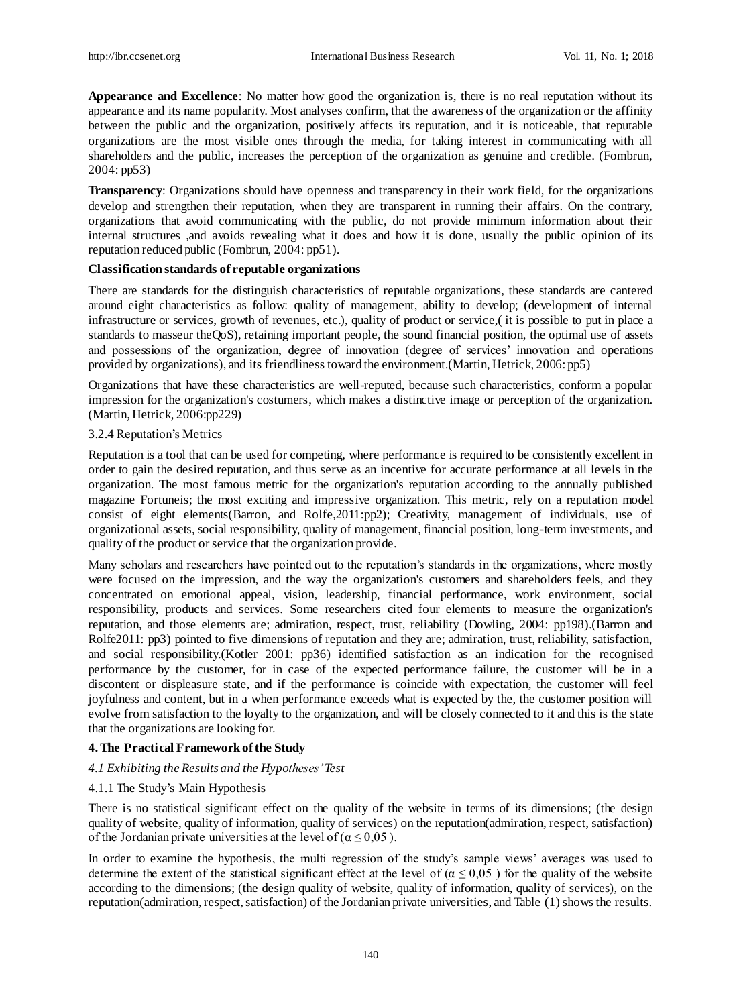**Appearance and Excellence**: No matter how good the organization is, there is no real reputation without its appearance and its name popularity. Most analyses confirm, that the awareness of the organization or the affinity between the public and the organization, positively affects its reputation, and it is noticeable, that reputable organizations are the most visible ones through the media, for taking interest in communicating with all shareholders and the public, increases the perception of the organization as genuine and credible. (Fombrun, 2004: pp53)

**Transparency**: Organizations should have openness and transparency in their work field, for the organizations develop and strengthen their reputation, when they are transparent in running their affairs. On the contrary, organizations that avoid communicating with the public, do not provide minimum information about their internal structures ,and avoids revealing what it does and how it is done, usually the public opinion of its reputation reduced public (Fombrun, 2004: pp51).

# **Classification standards of reputable organizations**

There are standards for the distinguish characteristics of reputable organizations, these standards are cantered around eight characteristics as follow: quality of management, ability to develop; (development of internal infrastructure or services, growth of revenues, etc.), quality of product or service,( it is possible to put in place a standards to masseur theQoS), retaining important people, the sound financial position, the optimal use of assets and possessions of the organization, degree of innovation (degree of services' innovation and operations provided by organizations), and its friendliness toward the environment.(Martin, Hetrick, 2006: pp5)

Organizations that have these characteristics are well-reputed, because such characteristics, conform a popular impression for the organization's costumers, which makes a distinctive image or perception of the organization. (Martin, Hetrick, 2006:pp229)

#### 3.2.4 Reputation's Metrics

Reputation is a tool that can be used for competing, where performance is required to be consistently excellent in order to gain the desired reputation, and thus serve as an incentive for accurate performance at all levels in the organization. The most famous metric for the organization's reputation according to the annually published magazine Fortuneis; the most exciting and impressive organization. This metric, rely on a reputation model consist of eight elements(Barron, and Rolfe,2011:pp2); Creativity, management of individuals, use of organizational assets, social responsibility, quality of management, financial position, long-term investments, and quality of the product or service that the organization provide.

Many scholars and researchers have pointed out to the reputation's standards in the organizations, where mostly were focused on the impression, and the way the organization's customers and shareholders feels, and they concentrated on emotional appeal, vision, leadership, financial performance, work environment, social responsibility, products and services. Some researchers cited four elements to measure the organization's reputation, and those elements are; admiration, respect, trust, reliability (Dowling, 2004: pp198).(Barron and Rolfe2011: pp3) pointed to five dimensions of reputation and they are; admiration, trust, reliability, satisfaction, and social responsibility.(Kotler 2001: pp36) identified satisfaction as an indication for the recognised performance by the customer, for in case of the expected performance failure, the customer will be in a discontent or displeasure state, and if the performance is coincide with expectation, the customer will feel joyfulness and content, but in a when performance exceeds what is expected by the, the customer position will evolve from satisfaction to the loyalty to the organization, and will be closely connected to it and this is the state that the organizations are looking for.

## **4. The Practical Framework of the Study**

## *4.1 Exhibiting the Results and the Hypotheses'Test*

#### 4.1.1 The Study's Main Hypothesis

There is no statistical significant effect on the quality of the website in terms of its dimensions; (the design quality of website, quality of information, quality of services) on the reputation(admiration, respect, satisfaction) of the Jordanian private universities at the level of ( $\alpha \le 0.05$ ).

In order to examine the hypothesis, the multi regression of the study's sample views' averages was used to determine the extent of the statistical significant effect at the level of ( $\alpha \le 0.05$ ) for the quality of the website according to the dimensions; (the design quality of website, quality of information, quality of services), on the reputation(admiration, respect, satisfaction) of the Jordanian private universities, and Table (1) shows the results.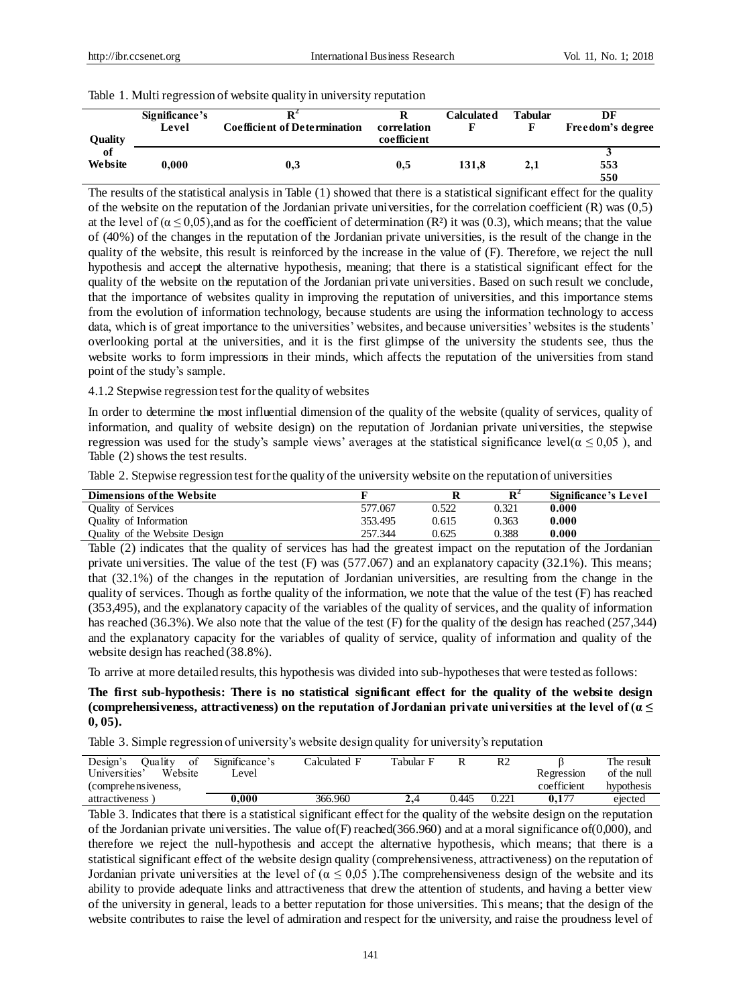|                | Significance's |                                     |             | <b>Calculated</b> | <b>Tabular</b> | DF               |  |  |  |
|----------------|----------------|-------------------------------------|-------------|-------------------|----------------|------------------|--|--|--|
|                | Level          | <b>Coefficient of Determination</b> | correlation |                   |                | Freedom's degree |  |  |  |
| <b>Quality</b> |                |                                     | coefficient |                   |                |                  |  |  |  |
| of             |                |                                     |             |                   |                |                  |  |  |  |
| Website        | 0.000          | 0,3                                 | 0,5         | 131.8             | 2,1            | 553              |  |  |  |
|                |                |                                     |             |                   |                | 550              |  |  |  |

Table 1. Multi regression of website quality in university reputation

The results of the statistical analysis in Table (1) showed that there is a statistical significant effect for the quality of the website on the reputation of the Jordanian private universities, for the correlation coefficient  $(R)$  was  $(0,5)$ at the level of ( $\alpha \le 0.05$ ), and as for the coefficient of determination (R 3) it was (0.3), which means; that the value of (40%) of the changes in the reputation of the Jordanian private universities, is the result of the change in the quality of the website, this result is reinforced by the increase in the value of (F). Therefore, we reject the null hypothesis and accept the alternative hypothesis, meaning; that there is a statistical significant effect for the quality of the website on the reputation of the Jordanian private universities. Based on such result we conclude, that the importance of websites quality in improving the reputation of universities, and this importance stems from the evolution of information technology, because students are using the information technology to access data, which is of great importance to the universities' websites, and because universities' websites is the students' overlooking portal at the universities, and it is the first glimpse of the university the students see, thus the website works to form impressions in their minds, which affects the reputation of the universities from stand point of the study's sample.

## 4.1.2 Stepwise regression test for the quality of websites

In order to determine the most influential dimension of the quality of the website (quality of services, quality of information, and quality of website design) on the reputation of Jordanian private universities, the stepwise regression was used for the study's sample views' averages at the statistical significance level( $\alpha \le 0.05$ ), and Table (2) shows the test results.

Table 2. Stepwise regression test for the quality of the university website on the reputation of universities

| Dimensions of the Website     |         |       | $\mathbf{R}^2$ | Significance's Level |
|-------------------------------|---------|-------|----------------|----------------------|
| Quality of Services           | 577.067 | 0.522 | 0.321          | 0.000                |
| Quality of Information        | 353.495 | 0.615 | 0.363          | 0.000                |
| Quality of the Website Design | 257.344 | 0.625 | 0.388          | 0.000                |

Table (2) indicates that the quality of services has had the greatest impact on the reputation of the Jordanian private universities. The value of the test (F) was (577.067) and an explanatory capacity (32.1%). This means; that (32.1%) of the changes in the reputation of Jordanian universities, are resulting from the change in the quality of services. Though as forthe quality of the information, we note that the value of the test (F) has reached (353,495), and the explanatory capacity of the variables of the quality of services, and the quality of information has reached (36.3%). We also note that the value of the test (F) for the quality of the design has reached (257,344) and the explanatory capacity for the variables of quality of service, quality of information and quality of the website design has reached (38.8%).

To arrive at more detailed results, this hypothesis was divided into sub-hypotheses that were tested as follows:

# **The first sub-hypothesis: There is no statistical significant effect for the quality of the website design (comprehensiveness, attractiveness) on the reputation of Jordanian private universities at the level of (α ≤ 0, 05).**

Table 3. Simple regression of university's website design quality for university's reputation

| Design's<br>Ouality<br>0t | Significance's       | Calculated F | Tabular F |       | R2    |             | The result  |
|---------------------------|----------------------|--------------|-----------|-------|-------|-------------|-------------|
| Universities<br>Website   | Level                |              |           |       |       | Regression  | of the null |
| (comprehensiveness,       |                      |              |           |       |       | coefficient | hypothesis  |
| attractiveness)           | $\boldsymbol{0.000}$ | 366.960      |           | 0.445 | 0.221 | 0.177       | ejected     |

Table 3. Indicates that there is a statistical significant effect for the quality of the website design on the reputation of the Jordanian private universities. The value of  $(F)$  reached (366.960) and at a moral significance of (0,000), and therefore we reject the null-hypothesis and accept the alternative hypothesis, which means; that there is a statistical significant effect of the website design quality (comprehensiveness, attractiveness) on the reputation of Jordanian private universities at the level of ( $\alpha \le 0.05$ ). The comprehensiveness design of the website and its ability to provide adequate links and attractiveness that drew the attention of students, and having a better view of the university in general, leads to a better reputation for those universities. This means; that the design of the website contributes to raise the level of admiration and respect for the university, and raise the proudness level of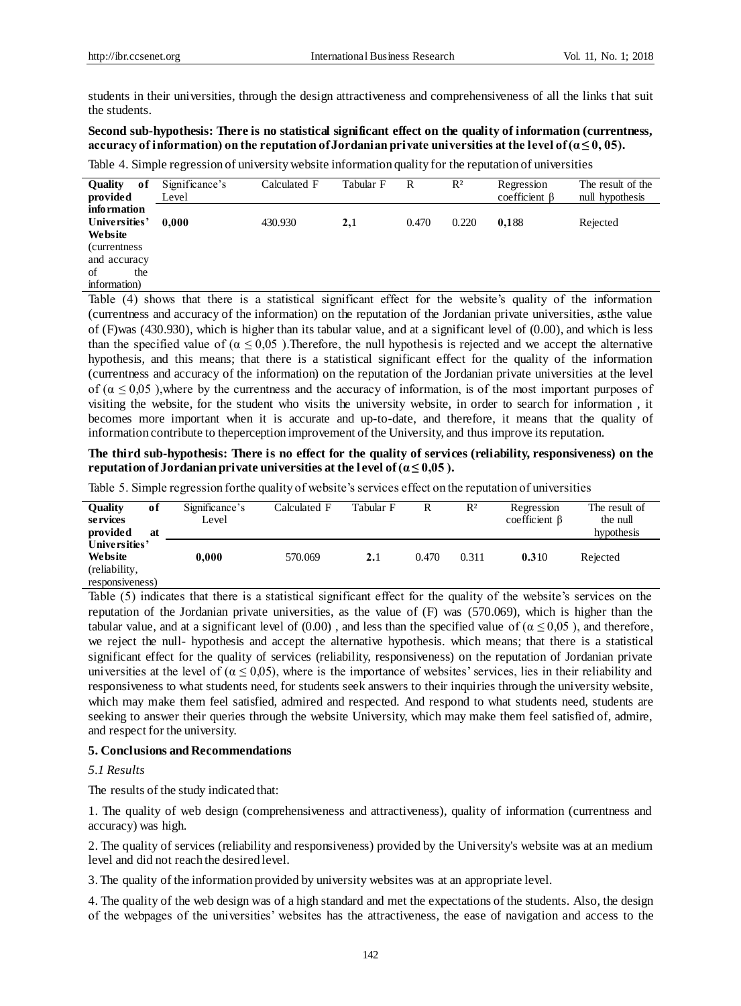students in their universities, through the design attractiveness and comprehensiveness of all the links that suit the students.

# **Second sub-hypothesis: There is no statistical significant effect on the quality of information (currentness, accuracy of information) on the reputation of Jordanian private universities at the level of (** $\alpha \leq 0, 05$ **).**

Table 4. Simple regression of university website information quality for the reputation of universities

| оf<br><b>Ouality</b> | Significance's    | Calculated F | Tabular F              | R                                  | R <sup>2</sup> | Regression                | The result of the |
|----------------------|-------------------|--------------|------------------------|------------------------------------|----------------|---------------------------|-------------------|
| provided             | Level             |              |                        |                                    |                | $coefficient \beta$       | null hypothesis   |
| information          |                   |              |                        |                                    |                |                           |                   |
| Universities'        | 0.000             | 430.930      | 2,1                    | 0.470                              | 0.220          | 0,188                     | Rejected          |
| Website              |                   |              |                        |                                    |                |                           |                   |
| <i>(currentness)</i> |                   |              |                        |                                    |                |                           |                   |
| and accuracy         |                   |              |                        |                                    |                |                           |                   |
| of<br>the            |                   |              |                        |                                    |                |                           |                   |
| information)         |                   |              |                        |                                    |                |                           |                   |
| $-11$ $(1)$          | $\sim$ 100 $\sim$ | $\sim$       | $\sim$<br>$\mathbf{a}$ | $\sim$ $\sim$<br>$\sim$ 100 $\sim$ | $\cdots$       | $\cdots$<br>$\sim$ $\sim$ | $\cdot$ $\sim$    |

Table (4) shows that there is a statistical significant effect for the website's quality of the information (currentness and accuracy of the information) on the reputation of the Jordanian private universities, asthe value of (F)was (430.930), which is higher than its tabular value, and at a significant level of (0.00), and which is less than the specified value of ( $\alpha \le 0.05$ ). Therefore, the null hypothesis is rejected and we accept the alternative hypothesis, and this means; that there is a statistical significant effect for the quality of the information (currentness and accuracy of the information) on the reputation of the Jordanian private universities at the level of ( $\alpha \le 0.05$ ), where by the currentness and the accuracy of information, is of the most important purposes of visiting the website, for the student who visits the university website, in order to search for information , it becomes more important when it is accurate and up-to-date, and therefore, it means that the quality of information contribute to theperception improvement of the University, and thus improve its reputation.

# **The third sub-hypothesis: There is no effect for the quality of services (reliability, responsiveness) on the reputation of Jordanian private universities at the level of (** $\alpha \leq 0.05$ **).**

Table 5. Simple regression forthe quality of website's services effect on the reputation of universities

| <b>Quality</b><br>services<br>provided                       | of<br>at | Significance's<br>Level | Calculated F | Tabular F | R     | R <sup>2</sup> | Regression<br>$coefficient \beta$ | The result of<br>the null<br>hypothesis |
|--------------------------------------------------------------|----------|-------------------------|--------------|-----------|-------|----------------|-----------------------------------|-----------------------------------------|
| Universities'<br>Website<br>(reliability,<br>responsiveness) |          | 0.000                   | 570.069      | 2.1       | 0.470 | 0.311          | 0.310                             | Rejected                                |

Table (5) indicates that there is a statistical significant effect for the quality of the website's services on the reputation of the Jordanian private universities, as the value of (F) was (570.069), which is higher than the tabular value, and at a significant level of (0.00), and less than the specified value of ( $\alpha \le 0.05$ ), and therefore, we reject the null- hypothesis and accept the alternative hypothesis. which means; that there is a statistical significant effect for the quality of services (reliability, responsiveness) on the reputation of Jordanian private universities at the level of ( $\alpha \le 0.05$ ), where is the importance of websites' services, lies in their reliability and responsiveness to what students need, for students seek answers to their inquiries through the university website, which may make them feel satisfied, admired and respected. And respond to what students need, students are seeking to answer their queries through the website University, which may make them feel satisfied of, admire, and respect for the university.

## **5. Conclusions and Recommendations**

## *5.1 Results*

The results of the study indicated that:

1. The quality of web design (comprehensiveness and attractiveness), quality of information (currentness and accuracy) was high.

2. The quality of services (reliability and responsiveness) provided by the University's website was at an medium level and did not reach the desired level.

3. The quality of the information provided by university websites was at an appropriate level.

4. The quality of the web design was of a high standard and met the expectations of the students. Also, the design of the webpages of the universities' websites has the attractiveness, the ease of navigation and access to the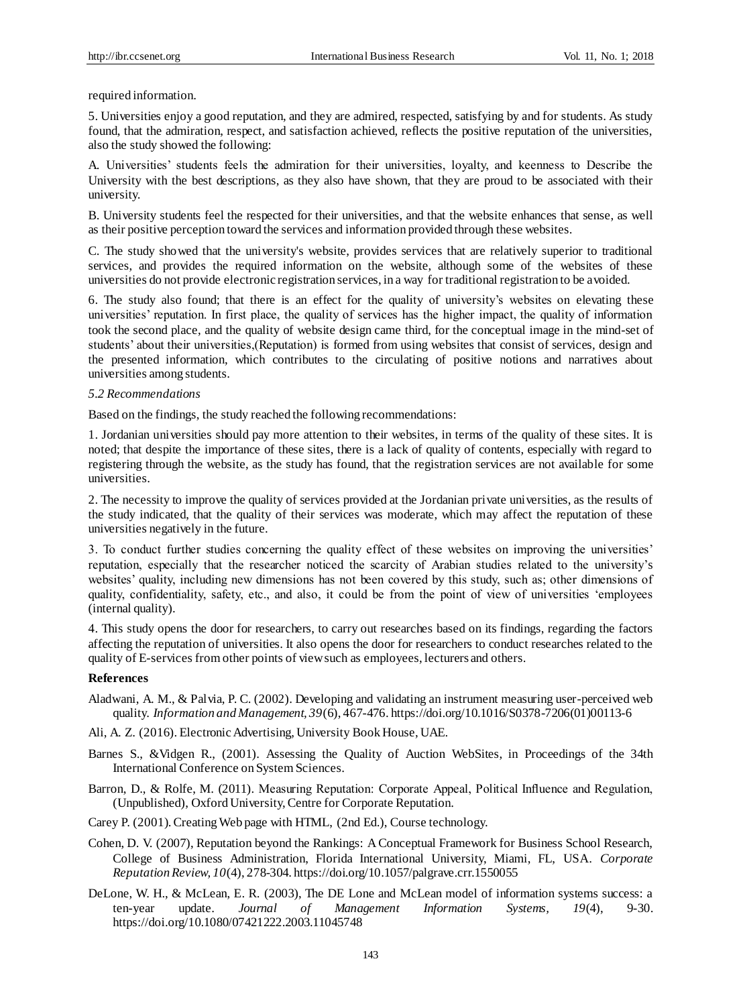#### required information.

5. Universities enjoy a good reputation, and they are admired, respected, satisfying by and for students. As study found, that the admiration, respect, and satisfaction achieved, reflects the positive reputation of the universities, also the study showed the following:

A. Universities' students feels the admiration for their universities, loyalty, and keenness to Describe the University with the best descriptions, as they also have shown, that they are proud to be associated with their university.

B. University students feel the respected for their universities, and that the website enhances that sense, as well as their positive perception toward the services and information provided through these websites.

C. The study showed that the university's website, provides services that are relatively superior to traditional services, and provides the required information on the website, although some of the websites of these universities do not provide electronic registration services, in a way for traditional registration to be avoided.

6. The study also found; that there is an effect for the quality of university's websites on elevating these universities' reputation. In first place, the quality of services has the higher impact, the quality of information took the second place, and the quality of website design came third, for the conceptual image in the mind-set of students' about their universities,(Reputation) is formed from using websites that consist of services, design and the presented information, which contributes to the circulating of positive notions and narratives about universities among students.

## *5.2 Recommendations*

Based on the findings, the study reached the following recommendations:

1. Jordanian universities should pay more attention to their websites, in terms of the quality of these sites. It is noted; that despite the importance of these sites, there is a lack of quality of contents, especially with regard to registering through the website, as the study has found, that the registration services are not available for some universities.

2. The necessity to improve the quality of services provided at the Jordanian private universities, as the results of the study indicated, that the quality of their services was moderate, which may affect the reputation of these universities negatively in the future.

3. To conduct further studies concerning the quality effect of these websites on improving the universities' reputation, especially that the researcher noticed the scarcity of Arabian studies related to the university's websites' quality, including new dimensions has not been covered by this study, such as; other dimensions of quality, confidentiality, safety, etc., and also, it could be from the point of view of universities 'employees (internal quality).

4. This study opens the door for researchers, to carry out researches based on its findings, regarding the factors affecting the reputation of universities. It also opens the door for researchers to conduct researches related to the quality of E-services from other points of view such as employees, lecturers and others.

## **References**

- Aladwani, A. M., & Palvia, P. C. (2002). Developing and validating an instrument measuring user-perceived web quality. *Information and Management, 39*(6), 467-476. https://doi.org/10.1016/S0378-7206(01)00113-6
- Ali, A. Z. (2016). Electronic Advertising, University Book House, UAE.
- Barnes S., &Vidgen R., (2001). Assessing the Quality of Auction WebSites, in Proceedings of the 34th International Conference on System Sciences.
- Barron, D., & Rolfe, M. (2011). Measuring Reputation: Corporate Appeal, Political Influence and Regulation, (Unpublished), Oxford University, Centre for Corporate Reputation.
- Carey P. (2001).Creating Web page with HTML, (2nd Ed.), Course technology.
- Cohen, D. V. (2007), Reputation beyond the Rankings: A Conceptual Framework for Business School Research, College of Business Administration, Florida International University, Miami, FL, USA. *Corporate Reputation Review, 10*(4), 278-304. https://doi.org/10.1057/palgrave.crr.1550055
- DeLone, W. H., & McLean, E. R. (2003), The DE Lone and McLean model of information systems success: a ten-year update. *Journal of Management Information Systems, 19*(4), 9-30. https://doi.org/10.1080/07421222.2003.11045748